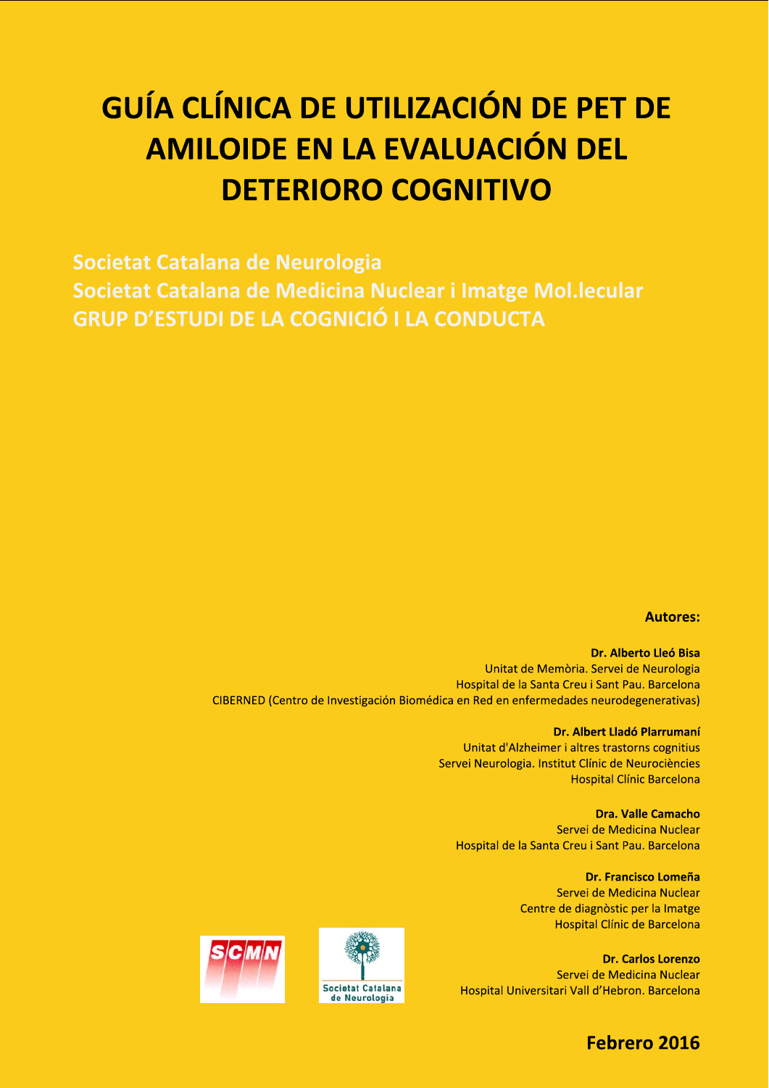# GUIA CLINICA DE UTILIZACIÓN DE PET DE GUÍA CLÍNICA DE UTILIZACIÓN DE PET DE<br>AMILOIDE EN LA EVALUACIÓN DEL<br>DETERIORO COGNITIVO<br>Societat Catalana de Neurologia<br>Societat Catalana de Medicina Nuclear i Imatge Mol.lecular<br>GRUP D'ESTUDI DE LA COGNICIÓ I LA CONDUCTA **CLÍNICA DE UTILIZACIÓN DE PET DE<br>MILOIDE EN LA EVALUACIÓN DEL<br>DETERIORO COGNITIVO<br>stalana de Neurologia<br>stalana de Medicina Nuclear i Imatge Mol.lecular<br>TUDI DE LA COGNICIÓ I LA CONDUCTA**

Societat Catalana de Neurologia Societat Catalana de Medicina Nuclear i Imatge Mol.lecular **GRUP D'ESTUDI DE LA COGNICIÓ I LA CONDUCTA** 

### Autores:

Dr. Alberto Lleó Bisa Unitat de Memoria, Servei de Neurologia Hospital de la Santa Creu i Sant Pau. Barcelona CIBERNED (Centro de Investigación Biomedica en Red en enfermedades neurodegenerativas)

**Dr. Albert Lladó Plarrumaní** Unitat d'Alzheimer i altres trastorns cognitius Servei Neurologia. Institut Clínic de Neurociències Hospital Clínic Barcelona 1 en enfermedades neurodegenerativas)<br>
1 en enfermedades neurodegenerativas)<br>
1 d'Alzheimer i altres trastorns cognitius<br>
1 d'Alzheimer i altres trastorns cognitius<br>
1 d'Oric de Neurociències<br>
1 de la Santa Creu i Sant Pau

Servei de Medicina Nuclear Hospital de la Santa Creu i Sant Pau. Barcelona

> Dr. Francisco Lomeña Servei de Medicina Nuclear Centre de diagnòstic per la Imatge Hospital Clínic de Barcelona

Dr. Carlos Lorenzo Servei de Medicina Nuclear Hospital Universitari Vall d'Hebron. Barcelona





# Febrero 2016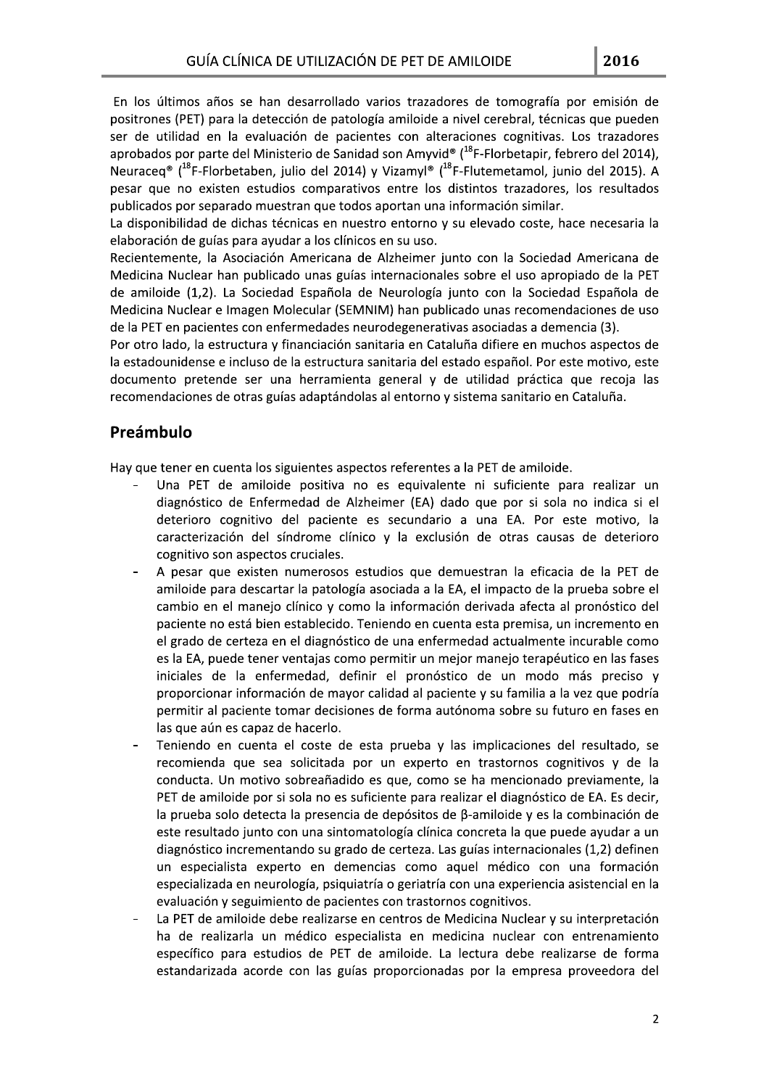En los últimos años se han desarrollado varios trazadores de tomografía por emisión de positrones (PET) para la detección de patología amiloide a nivel cerebral, técnicas que pueden ser de utilidad en la evaluación de pacientes con alteraciones cognitivas. Los trazadores aprobados por parte del Ministerio de Sanidad son Amyvid<sup>®</sup> (<sup>18</sup>F-Florbetapir, febrero del 2014), Neuraceq<sup>®</sup> (<sup>18</sup>F-Florbetaben, julio del 2014) y Vizamyl® (<sup>18</sup>F-Flutemetamol, junio del 2015). A pesar que no existen estudios comparativos entre los distintos trazadores, los resultados publicados por separado muestran que todos aportan una información similar.

La disponibilidad de dichas técnicas en nuestro entorno y su elevado coste, hace necesaria la elaboración de guías para ayudar a los clínicos en su uso.

Recientemente, la Asociación Americana de Alzheimer junto con la Sociedad Americana de Medicina Nuclear han publicado unas guías internacionales sobre el uso apropiado de la PET de amiloide (1,2). La Sociedad Española de Neurología junto con la Sociedad Española de Medicina Nuclear e Imagen Molecular (SEMNIM) han publicado unas recomendaciones de uso de la PET en pacientes con enfermedades neurodegenerativas asociadas a demencia (3).

Por otro lado, la estructura y financiación sanitaria en Cataluña difiere en muchos aspectos de la estadounidense e incluso de la estructura sanitaria del estado español. Por este motivo, este documento pretende ser una herramienta general y de utilidad práctica que recoja las recomendaciones de otras guías adaptándolas al entorno y sistema sanitario en Cataluña.

### Preámbulo

Hay que tener en cuenta los siguientes aspectos referentes a la PET de amiloide.

- Una PET de amiloide positiva no es equivalente ni suficiente para realizar un diagnóstico de Enfermedad de Alzheimer (EA) dado que por si sola no indica si el deterioro cognitivo del paciente es secundario a una EA. Por este motivo, la caracterización del síndrome clínico y la exclusión de otras causas de deterioro cognitivo son aspectos cruciales.
- A pesar que existen numerosos estudios que demuestran la eficacia de la PET de amiloide para descartar la patología asociada a la EA, el impacto de la prueba sobre el cambio en el manejo clínico y como la información derivada afecta al pronóstico del paciente no está bien establecido. Teniendo en cuenta esta premisa, un incremento en el grado de certeza en el diagnóstico de una enfermedad actualmente incurable como es la EA, puede tener ventajas como permitir un mejor manejo terapéutico en las fases iniciales de la enfermedad, definir el pronóstico de un modo más preciso y proporcionar información de mayor calidad al paciente y su familia a la vez que podría permitir al paciente tomar decisiones de forma autónoma sobre su futuro en fases en las que aún es capaz de hacerlo.
- Teniendo en cuenta el coste de esta prueba y las implicaciones del resultado, se recomienda que sea solicitada por un experto en trastornos cognitivos y de la conducta. Un motivo sobreañadido es que, como se ha mencionado previamente, la PET de amiloide por si sola no es suficiente para realizar el diagnóstico de EA. Es decir, la prueba solo detecta la presencia de depósitos de  $\beta$ -amiloide y es la combinación de este resultado junto con una sintomatología clínica concreta la que puede ayudar a un diagnóstico incrementando su grado de certeza. Las guías internacionales (1,2) definen un especialista experto en demencias como aquel médico con una formación especializada en neurología, psiguiatría o geriatría con una experiencia asistencial en la evaluación y seguimiento de pacientes con trastornos cognitivos.
- La PET de amiloide debe realizarse en centros de Medicina Nuclear y su interpretación ha de realizarla un médico especialista en medicina nuclear con entrenamiento específico para estudios de PET de amiloide. La lectura debe realizarse de forma estandarizada acorde con las guías proporcionadas por la empresa proveedora del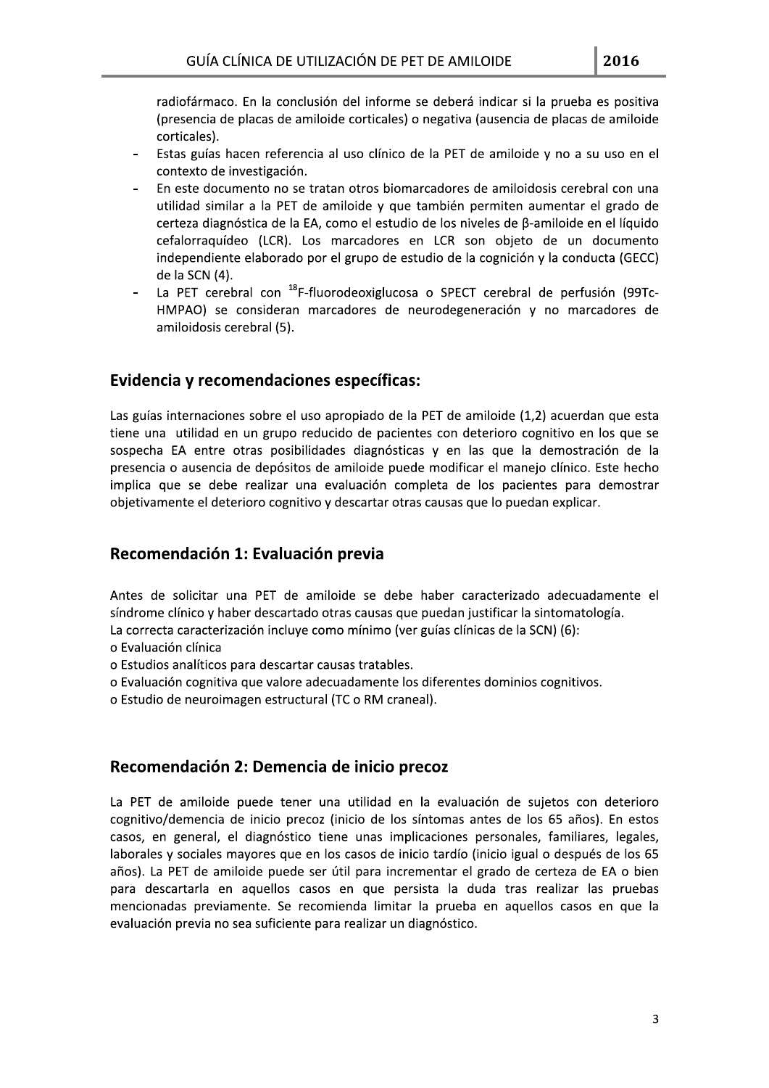radiofármaco. En la conclusión del informe se deberá indicar si la prueba es positiva (presencia de placas de amiloide corticales) o negativa (ausencia de placas de amiloide corticales).

- Estas guías hacen referencia al uso clínico de la PET de amiloide y no a su uso en el contexto de investigación.
- En este documento no se tratan otros biomarcadores de amiloidosis cerebral con una utilidad similar a la PET de amiloide y que también permiten aumentar el grado de certeza diagnóstica de la EA, como el estudio de los niveles de B-amiloide en el líquido cefalorraquídeo (LCR). Los marcadores en LCR son objeto de un documento independiente elaborado por el grupo de estudio de la cognición y la conducta (GECC) de la SCN (4).
- La PET cerebral con <sup>18</sup>F-fluorodeoxiglucosa o SPECT cerebral de perfusión (99Tc-HMPAO) se consideran marcadores de neurodegeneración y no marcadores de amiloidosis cerebral (5).

### Evidencia y recomendaciones específicas:

Las guías internaciones sobre el uso apropiado de la PET de amiloide (1,2) acuerdan que esta tiene una utilidad en un grupo reducido de pacientes con deterioro cognitivo en los que se sospecha EA entre otras posibilidades diagnósticas y en las que la demostración de la presencia o ausencia de depósitos de amiloide puede modificar el manejo clínico. Este hecho implica que se debe realizar una evaluación completa de los pacientes para demostrar objetivamente el deterioro cognitivo y descartar otras causas que lo puedan explicar.

### Recomendación 1: Evaluación previa

Antes de solicitar una PET de amiloide se debe haber caracterizado adecuadamente el síndrome clínico y haber descartado otras causas que puedan justificar la sintomatología. La correcta caracterización incluye como mínimo (ver guías clínicas de la SCN) (6):

- o Evaluación clínica
- o Estudios analíticos para descartar causas tratables.
- o Evaluación cognitiva que valore adecuadamente los diferentes dominios cognitivos.

o Estudio de neuroimagen estructural (TC o RM craneal).

### Recomendación 2: Demencia de inicio precoz

La PET de amiloide puede tener una utilidad en la evaluación de sujetos con deterioro cognitivo/demencia de inicio precoz (inicio de los síntomas antes de los 65 años). En estos casos, en general, el diagnóstico tiene unas implicaciones personales, familiares, legales, laborales y sociales mayores que en los casos de inicio tardío (inicio igual o después de los 65 años). La PET de amiloide puede ser útil para incrementar el grado de certeza de EA o bien para descartarla en aquellos casos en que persista la duda tras realizar las pruebas mencionadas previamente. Se recomienda limitar la prueba en aquellos casos en que la evaluación previa no sea suficiente para realizar un diagnóstico.

 $\overline{3}$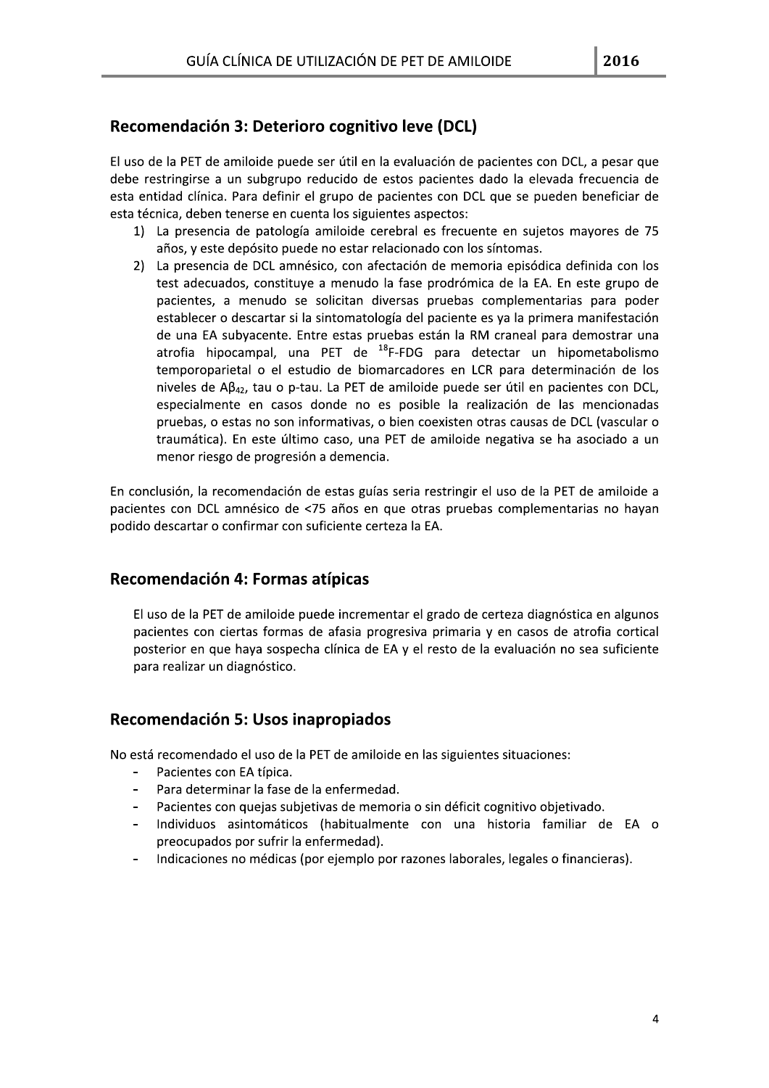## Recomendación 3: Deterioro cognitivo leve (DCL)

El uso de la PET de amiloide puede ser útil en la evaluación de pacientes con DCL, a pesar que debe restringirse a un subgrupo reducido de estos pacientes dado la elevada frecuencia de esta entidad clínica. Para definir el grupo de pacientes con DCL que se pueden beneficiar de esta técnica, deben tenerse en cuenta los siguientes aspectos:

- 1) La presencia de patología amiloide cerebral es frecuente en sujetos mayores de 75 años, y este depósito puede no estar relacionado con los síntomas.
- 2) La presencia de DCL amnésico, con afectación de memoria episódica definida con los test adecuados, constituye a menudo la fase prodrómica de la EA. En este grupo de pacientes, a menudo se solicitan diversas pruebas complementarias para poder establecer o descartar si la sintomatología del paciente es ya la primera manifestación de una EA subyacente. Entre estas pruebas están la RM craneal para demostrar una atrofia hipocampal, una PET de <sup>18</sup>F-FDG para detectar un hipometabolismo temporoparietal o el estudio de biomarcadores en LCR para determinación de los niveles de  $AB_{42}$ , tau o p-tau. La PET de amiloide puede ser útil en pacientes con DCL, especialmente en casos donde no es posible la realización de las mencionadas pruebas, o estas no son informativas, o bien coexisten otras causas de DCL (vascular o traumática). En este último caso, una PET de amiloide negativa se ha asociado a un menor riesgo de progresión a demencia.

En conclusión, la recomendación de estas guías seria restringir el uso de la PET de amiloide a pacientes con DCL amnésico de <75 años en que otras pruebas complementarias no hayan podido descartar o confirmar con suficiente certeza la EA.

### Recomendación 4: Formas atípicas

El uso de la PET de amiloide puede incrementar el grado de certeza diagnóstica en algunos pacientes con ciertas formas de afasia progresiva primaria y en casos de atrofia cortical posterior en que haya sospecha clínica de EA y el resto de la evaluación no sea suficiente para realizar un diagnóstico.

### Recomendación 5: Usos inapropiados

No está recomendado el uso de la PET de amiloide en las siguientes situaciones:

- Pacientes con EA típica.
- Para determinar la fase de la enfermedad.  $\overline{a}$
- Pacientes con quejas subjetivas de memoria o sin déficit cognitivo objetivado.  $\blacksquare$
- Individuos asintomáticos (habitualmente con una historia familiar de EA o preocupados por sufrir la enfermedad).
- Indicaciones no médicas (por ejemplo por razones laborales, legales o financieras).